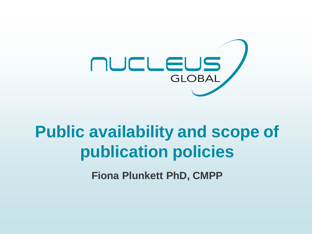

# **Public availability and scope of publication policies**

**Fiona Plunkett PhD, CMPP**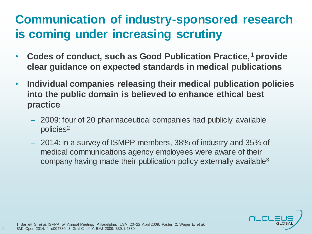#### **Communication of industry-sponsored research is coming under increasing scrutiny**

- **Codes of conduct, such as Good Publication Practice,<sup>1</sup> provide clear guidance on expected standards in medical publications**
- **Individual companies releasing their medical publication policies into the public domain is believed to enhance ethical best practice**
	- 2009: four of 20 pharmaceutical companies had publicly available policies<sup>2</sup>
	- 2014: in a survey of ISMPP members, 38% of industry and 35% of medical communications agency employees were aware of their company having made their publication policy externally available<sup>3</sup>



1. Bartlett S, *et al*. ISMPP 5th Annual Meeting. Philadelphia, USA, 20–22 April 2009; Poster; 2. Wager E, *et al*. BMJ Open 2014; 4: e004780; 3. Graf C, *et al*. BMJ 2009; 339: b4330.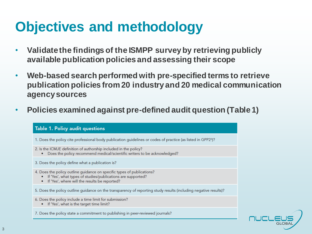# **Objectives and methodology**

- **Validate the findings of the ISMPP survey by retrieving publicly available publication policies and assessing their scope**
- **Web-based search performed with pre-specified terms to retrieve publication policies from 20 industry and 20 medical communication agency sources**
- **Policies examined against pre-defined audit question (Table 1)**



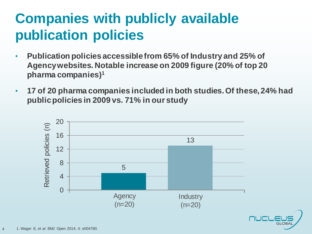# **Companies with publicly available publication policies**

- **Publication policies accessible from 65% of Industry and 25% of Agency websites. Notable increase on 2009 figure (20% of top 20 pharma companies)<sup>1</sup>**
- **17 of 20 pharma companies included in both studies. Of these, 24% had public policies in 2009 vs. 71% in our study**

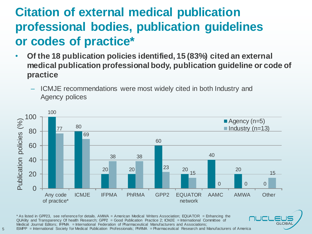#### **Citation of external medical publication professional bodies, publication guidelines or codes of practice\***

- **Of the 18 publication policies identified, 15 (83%) cited an external medical publication professional body, publication guideline or code of practice**
	- ICMJE recommendations were most widely cited in both Industry and Agency polices



**GLOBA** 

\* As listed in GPP23, see reference for details. AMWA = American Medical Writers Association; EQUATOR = Enhancing the QUAlity and Transparency Of health Research; GPP2 = Good Publication Practice 2; ICMJE = International Committee of Medical Journal Editors; IFPMA = International Federation of Pharmaceutical Manufacturers and Associations; ISMPP = International Society for Medical Publication Professionals; PhRMA = Pharmaceutical Research and Manufacturers of America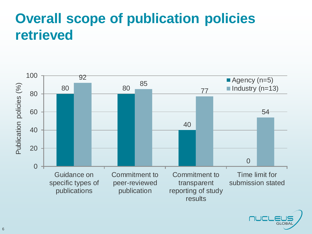### **Overall scope of publication policies retrieved**



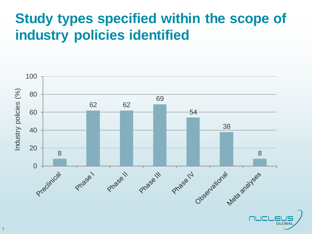# **Study types specified within the scope of industry policies identified**

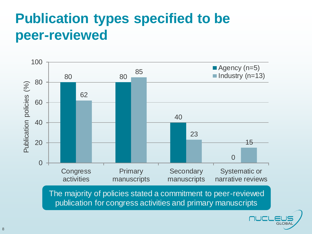# **Publication types specified to be peer-reviewed**



The majority of policies stated a commitment to peer-reviewed publication for congress activities and primary manuscripts